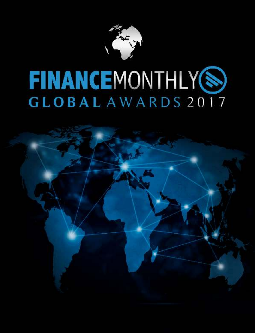

## **FINANCEMONTHLY®** GLOBAL AWARDS 2017

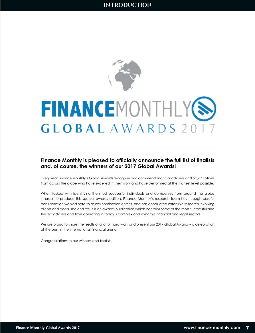

## **FINANCEMONTHLY(S) GLOBAL** AWARDS 2

## **Finance Monthly is pleased to officially announce the full list of finalists and, of course, the winners of our 2017 Global Awards!**

Every year Finance Monthly's Global Awards recognise and commend financial advisers and organisations from across the globe who have excelled in their work and have performed at the highest level possible.

When tasked with identifying the most successful individuals and companies from around the globe in order to produce this special awards edition, Finance Monthly's research team has through careful consideration worked hard to assess nomination entries, and has conducted extensive research involving clients and peers. The end result is an awards publication which contains some of the most successful and trusted advisers and firms operating in today's complex and dynamic financial and legal sectors.

We are proud to share the results of a lot of hard work and present our 2017 Global Awards – a celebration of the best in the international financial arena!

Congratulations to our winners and finalists.